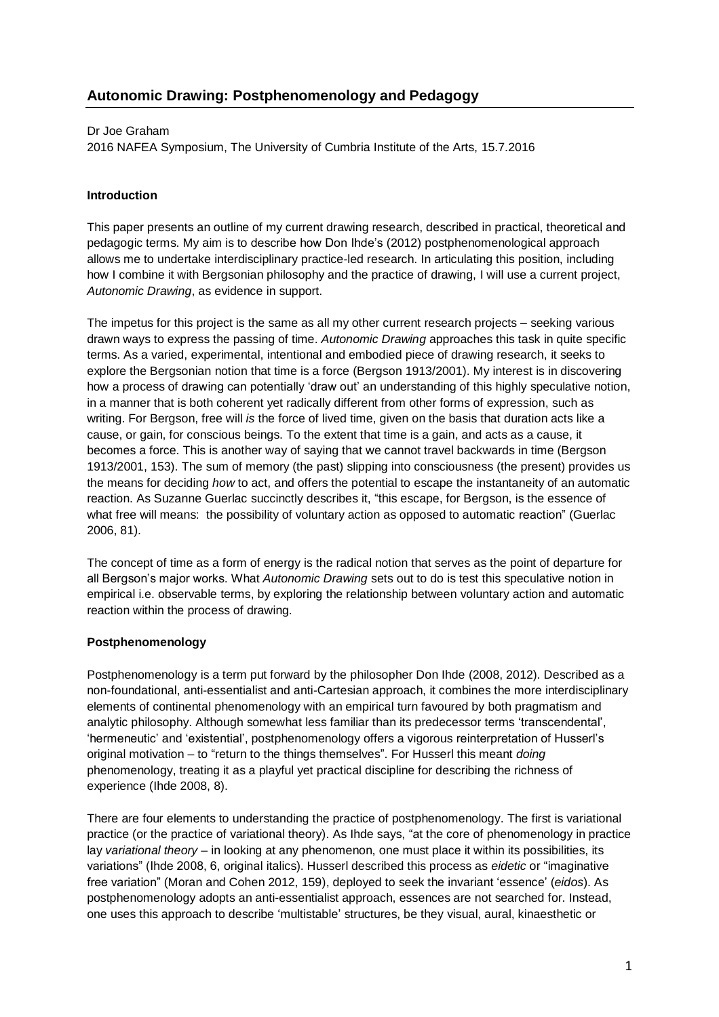### Dr Joe Graham

2016 NAFEA Symposium, The University of Cumbria Institute of the Arts, 15.7.2016

## **Introduction**

This paper presents an outline of my current drawing research, described in practical, theoretical and pedagogic terms. My aim is to describe how Don Ihde's (2012) postphenomenological approach allows me to undertake interdisciplinary practice-led research. In articulating this position, including how I combine it with Bergsonian philosophy and the practice of drawing, I will use a current project, *Autonomic Drawing*, as evidence in support.

The impetus for this project is the same as all my other current research projects – seeking various drawn ways to express the passing of time. *Autonomic Drawing* approaches this task in quite specific terms. As a varied, experimental, intentional and embodied piece of drawing research, it seeks to explore the Bergsonian notion that time is a force (Bergson 1913/2001). My interest is in discovering how a process of drawing can potentially 'draw out' an understanding of this highly speculative notion, in a manner that is both coherent yet radically different from other forms of expression, such as writing. For Bergson, free will *is* the force of lived time, given on the basis that duration acts like a cause, or gain, for conscious beings. To the extent that time is a gain, and acts as a cause, it becomes a force. This is another way of saying that we cannot travel backwards in time (Bergson 1913/2001, 153). The sum of memory (the past) slipping into consciousness (the present) provides us the means for deciding *how* to act, and offers the potential to escape the instantaneity of an automatic reaction. As Suzanne Guerlac succinctly describes it, "this escape, for Bergson, is the essence of what free will means: the possibility of voluntary action as opposed to automatic reaction" (Guerlac 2006, 81).

The concept of time as a form of energy is the radical notion that serves as the point of departure for all Bergson's major works. What *Autonomic Drawing* sets out to do is test this speculative notion in empirical i.e. observable terms, by exploring the relationship between voluntary action and automatic reaction within the process of drawing.

### **Postphenomenology**

Postphenomenology is a term put forward by the philosopher Don Ihde (2008, 2012). Described as a non-foundational, anti-essentialist and anti-Cartesian approach, it combines the more interdisciplinary elements of continental phenomenology with an empirical turn favoured by both pragmatism and analytic philosophy. Although somewhat less familiar than its predecessor terms 'transcendental', 'hermeneutic' and 'existential', postphenomenology offers a vigorous reinterpretation of Husserl's original motivation – to "return to the things themselves". For Husserl this meant *doing*  phenomenology, treating it as a playful yet practical discipline for describing the richness of experience (Ihde 2008, 8).

There are four elements to understanding the practice of postphenomenology. The first is variational practice (or the practice of variational theory). As Ihde says, "at the core of phenomenology in practice lay *variational theory* – in looking at any phenomenon, one must place it within its possibilities, its variations" (Ihde 2008, 6, original italics). Husserl described this process as *eidetic* or "imaginative free variation" (Moran and Cohen 2012, 159), deployed to seek the invariant 'essence' (*eidos*). As postphenomenology adopts an anti-essentialist approach, essences are not searched for. Instead, one uses this approach to describe 'multistable' structures, be they visual, aural, kinaesthetic or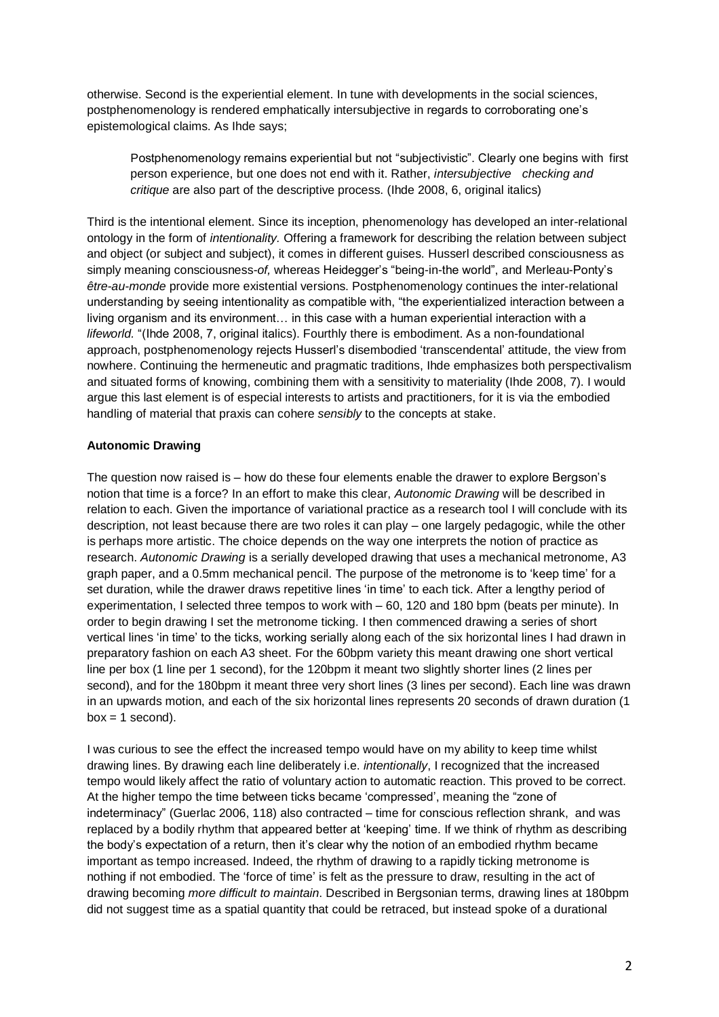otherwise. Second is the experiential element. In tune with developments in the social sciences, postphenomenology is rendered emphatically intersubjective in regards to corroborating one's epistemological claims. As Ihde says;

Postphenomenology remains experiential but not "subjectivistic". Clearly one begins with first person experience, but one does not end with it. Rather, *intersubjective checking and critique* are also part of the descriptive process. (Ihde 2008, 6, original italics)

Third is the intentional element. Since its inception, phenomenology has developed an inter-relational ontology in the form of *intentionality.* Offering a framework for describing the relation between subject and object (or subject and subject), it comes in different guises. Husserl described consciousness as simply meaning consciousness-*of,* whereas Heidegger's "being-in-the world", and Merleau-Ponty's *être-au-monde* provide more existential versions. Postphenomenology continues the inter-relational understanding by seeing intentionality as compatible with, "the experientialized interaction between a living organism and its environment… in this case with a human experiential interaction with a *lifeworld.* "(Ihde 2008, 7, original italics). Fourthly there is embodiment. As a non-foundational approach, postphenomenology rejects Husserl's disembodied 'transcendental' attitude, the view from nowhere. Continuing the hermeneutic and pragmatic traditions, Ihde emphasizes both perspectivalism and situated forms of knowing, combining them with a sensitivity to materiality (Ihde 2008, 7). I would argue this last element is of especial interests to artists and practitioners, for it is via the embodied handling of material that praxis can cohere *sensibly* to the concepts at stake.

## **Autonomic Drawing**

The question now raised is – how do these four elements enable the drawer to explore Bergson's notion that time is a force? In an effort to make this clear, *Autonomic Drawing* will be described in relation to each. Given the importance of variational practice as a research tool I will conclude with its description, not least because there are two roles it can play – one largely pedagogic, while the other is perhaps more artistic. The choice depends on the way one interprets the notion of practice as research. *Autonomic Drawing* is a serially developed drawing that uses a mechanical metronome, A3 graph paper, and a 0.5mm mechanical pencil. The purpose of the metronome is to 'keep time' for a set duration, while the drawer draws repetitive lines 'in time' to each tick. After a lengthy period of experimentation, I selected three tempos to work with – 60, 120 and 180 bpm (beats per minute). In order to begin drawing I set the metronome ticking. I then commenced drawing a series of short vertical lines 'in time' to the ticks, working serially along each of the six horizontal lines I had drawn in preparatory fashion on each A3 sheet. For the 60bpm variety this meant drawing one short vertical line per box (1 line per 1 second), for the 120bpm it meant two slightly shorter lines (2 lines per second), and for the 180bpm it meant three very short lines (3 lines per second). Each line was drawn in an upwards motion, and each of the six horizontal lines represents 20 seconds of drawn duration (1  $box = 1 second$ .

I was curious to see the effect the increased tempo would have on my ability to keep time whilst drawing lines. By drawing each line deliberately i.e. *intentionally*, I recognized that the increased tempo would likely affect the ratio of voluntary action to automatic reaction. This proved to be correct. At the higher tempo the time between ticks became 'compressed', meaning the "zone of indeterminacy" (Guerlac 2006, 118) also contracted – time for conscious reflection shrank, and was replaced by a bodily rhythm that appeared better at 'keeping' time. If we think of rhythm as describing the body's expectation of a return, then it's clear why the notion of an embodied rhythm became important as tempo increased. Indeed, the rhythm of drawing to a rapidly ticking metronome is nothing if not embodied. The 'force of time' is felt as the pressure to draw, resulting in the act of drawing becoming *more difficult to maintain*. Described in Bergsonian terms, drawing lines at 180bpm did not suggest time as a spatial quantity that could be retraced, but instead spoke of a durational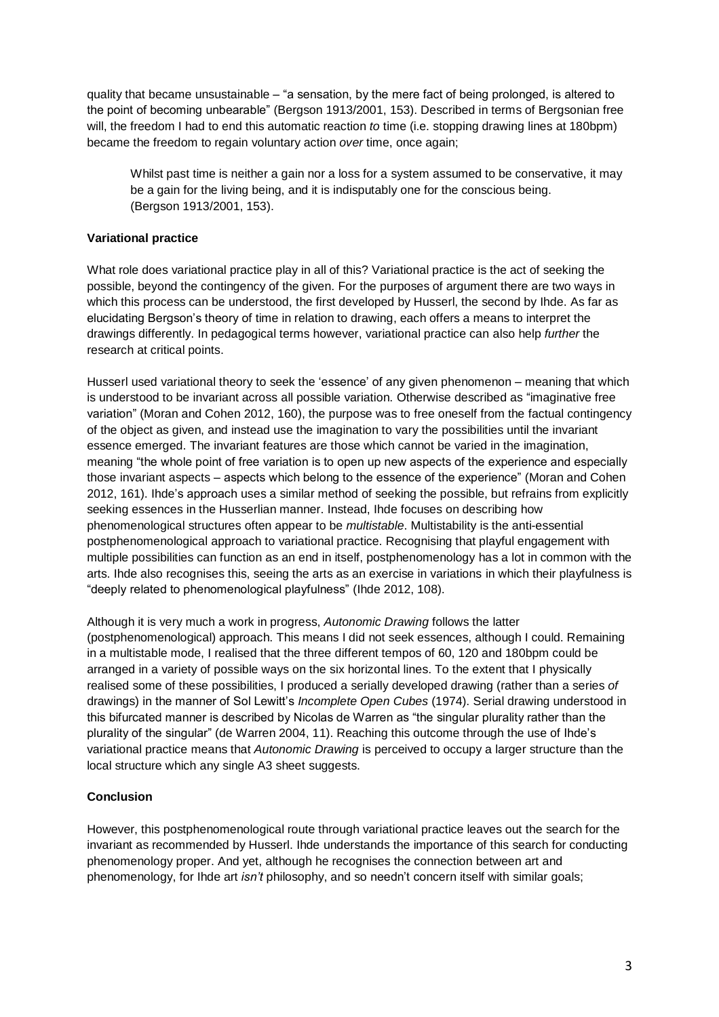quality that became unsustainable – "a sensation, by the mere fact of being prolonged, is altered to the point of becoming unbearable" (Bergson 1913/2001, 153). Described in terms of Bergsonian free will, the freedom I had to end this automatic reaction *to* time (i.e. stopping drawing lines at 180bpm) became the freedom to regain voluntary action *over* time, once again;

Whilst past time is neither a gain nor a loss for a system assumed to be conservative, it may be a gain for the living being, and it is indisputably one for the conscious being. (Bergson 1913/2001, 153).

# **Variational practice**

What role does variational practice play in all of this? Variational practice is the act of seeking the possible, beyond the contingency of the given. For the purposes of argument there are two ways in which this process can be understood, the first developed by Husserl, the second by Ihde. As far as elucidating Bergson's theory of time in relation to drawing, each offers a means to interpret the drawings differently. In pedagogical terms however, variational practice can also help *further* the research at critical points.

Husserl used variational theory to seek the 'essence' of any given phenomenon – meaning that which is understood to be invariant across all possible variation. Otherwise described as "imaginative free variation" (Moran and Cohen 2012, 160), the purpose was to free oneself from the factual contingency of the object as given, and instead use the imagination to vary the possibilities until the invariant essence emerged. The invariant features are those which cannot be varied in the imagination, meaning "the whole point of free variation is to open up new aspects of the experience and especially those invariant aspects – aspects which belong to the essence of the experience" (Moran and Cohen 2012, 161). Ihde's approach uses a similar method of seeking the possible, but refrains from explicitly seeking essences in the Husserlian manner. Instead, Ihde focuses on describing how phenomenological structures often appear to be *multistable*. Multistability is the anti-essential postphenomenological approach to variational practice. Recognising that playful engagement with multiple possibilities can function as an end in itself, postphenomenology has a lot in common with the arts. Ihde also recognises this, seeing the arts as an exercise in variations in which their playfulness is "deeply related to phenomenological playfulness" (Ihde 2012, 108).

Although it is very much a work in progress, *Autonomic Drawing* follows the latter (postphenomenological) approach. This means I did not seek essences, although I could. Remaining in a multistable mode, I realised that the three different tempos of 60, 120 and 180bpm could be arranged in a variety of possible ways on the six horizontal lines. To the extent that I physically realised some of these possibilities, I produced a serially developed drawing (rather than a series *of* drawings) in the manner of Sol Lewitt's *Incomplete Open Cubes* (1974). Serial drawing understood in this bifurcated manner is described by Nicolas de Warren as "the singular plurality rather than the plurality of the singular" (de Warren 2004, 11). Reaching this outcome through the use of Ihde's variational practice means that *Autonomic Drawing* is perceived to occupy a larger structure than the local structure which any single A3 sheet suggests.

# **Conclusion**

However, this postphenomenological route through variational practice leaves out the search for the invariant as recommended by Husserl. Ihde understands the importance of this search for conducting phenomenology proper. And yet, although he recognises the connection between art and phenomenology, for Ihde art *isn't* philosophy, and so needn't concern itself with similar goals;